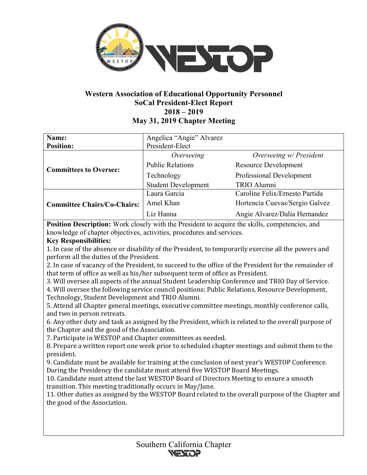

# **Western Association of Educational Opportunity Personnel SoCal President-Elect Report 2018 – 2019 May 31, 2019 Chapter Meeting**

| Name:                              | Angelica "Angie" Alvarez   |                                |
|------------------------------------|----------------------------|--------------------------------|
| <b>Position:</b>                   | President-Elect            |                                |
| <b>Committees to Oversee:</b>      | Overseeing                 | Overseeing w/ President        |
|                                    | <b>Public Relations</b>    | <b>Resource Development</b>    |
|                                    | Technology                 | Professional Development       |
|                                    | <b>Student Development</b> | TRIO Alumni                    |
| <b>Committee Chairs/Co-Chairs:</b> | Laura Garcia               | Caroline Felix/Ernesto Partida |
|                                    | Amel Khan                  | Hortencia Cuevas/Sergio Galvez |
|                                    | Liz Hanna                  | Angie Alvarez/Dalia Hernandez  |

**Position Description:** Work closely with the President to acquire the skills, competencies, and knowledge of chapter objectives, activities, procedures and services.

## **Key Responsibilities:**

1. In case of the absence or disability of the President, to temporarily exercise all the powers and perform all the duties of the President.

2. In case of vacancy of the President, to succeed to the office of the President for the remainder of that term of office as well as his/her subsequent term of office as President.

3. Will oversee all aspects of the annual Student Leadership Conference and TRIO Day of Service.

4. Will oversee the following service council positions: Public Relations, Resource Development, Technology, Student Development and TRIO Alumni.

5. Attend all Chapter general meetings, executive committee meetings, monthly conference calls, and two in person retreats.

6. Any other duty and task as assigned by the President, which is related to the overall purpose of the Chapter and the good of the Association.

7. Participate in WESTOP and Chapter committees as needed.

8. Prepare a written report one week prior to scheduled chapter meetings and submit them to the president.

9. Candidate must be available for training at the conclusion of next year's WESTOP Conference. During the Presidency the candidate must attend five WESTOP Board Meetings.

10. Candidate must attend the last WESTOP Board of Directors Meeting to ensure a smooth transition. This meeting traditionally occurs in May/June.

11. Other duties as assigned by the WESTOP Board related to the overall purpose of the Chapter and the good of the Association.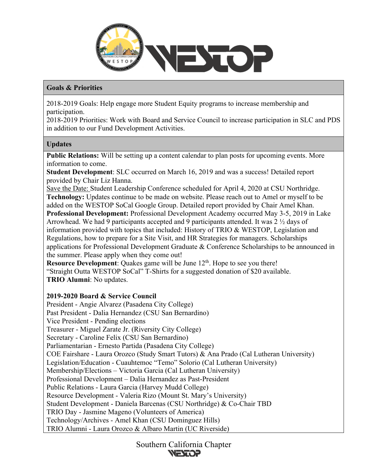

### **Goals & Priorities**

2018-2019 Goals: Help engage more Student Equity programs to increase membership and participation.

2018-2019 Priorities: Work with Board and Service Council to increase participation in SLC and PDS in addition to our Fund Development Activities.

### **Updates**

**Public Relations:** Will be setting up a content calendar to plan posts for upcoming events. More information to come.

**Student Development**: SLC occurred on March 16, 2019 and was a success! Detailed report provided by Chair Liz Hanna.

Save the Date: Student Leadership Conference scheduled for April 4, 2020 at CSU Northridge. **Technology:** Updates continue to be made on website. Please reach out to Amel or myself to be added on the WESTOP SoCal Google Group. Detailed report provided by Chair Amel Khan. **Professional Development:** Professional Development Academy occurred May 3-5, 2019 in Lake Arrowhead. We had 9 participants accepted and 9 participants attended. It was 2 ½ days of information provided with topics that included: History of TRIO & WESTOP, Legislation and Regulations, how to prepare for a Site Visit, and HR Strategies for managers. Scholarships applications for Professional Development Graduate & Conference Scholarships to be announced in the summer. Please apply when they come out!

**Resource Development:** Quakes game will be June 12<sup>th</sup>. Hope to see you there! "Straight Outta WESTOP SoCal" T-Shirts for a suggested donation of \$20 available. **TRIO Alumni**: No updates.

### **2019-2020 Board & Service Council**

President - Angie Alvarez (Pasadena City College) Past President - Dalia Hernandez (CSU San Bernardino) Vice President - Pending elections Treasurer - Miguel Zarate Jr. (Riversity City College) Secretary - Caroline Felix (CSU San Bernardino) Parliamentarian - Ernesto Partida (Pasadena City College) COE Fairshare - Laura Orozco (Study Smart Tutors) & Ana Prado (Cal Lutheran University) Legislation/Education - Cuauhtemoc "Temo" Solorio (Cal Lutheran University) Membership/Elections – Victoria Garcia (Cal Lutheran University) Professional Development – Dalia Hernandez as Past-President Public Relations - Laura Garcia (Harvey Mudd College) Resource Development - Valeria Rizo (Mount St. Mary's University) Student Development - Daniela Barcenas (CSU Northridge) & Co-Chair TBD TRIO Day - Jasmine Mageno (Volunteers of America) Technology/Archives - Amel Khan (CSU Dominguez Hills) TRIO Alumni - Laura Orozco & Albaro Martin (UC Riverside)

> Southern California Chapter **REALER**